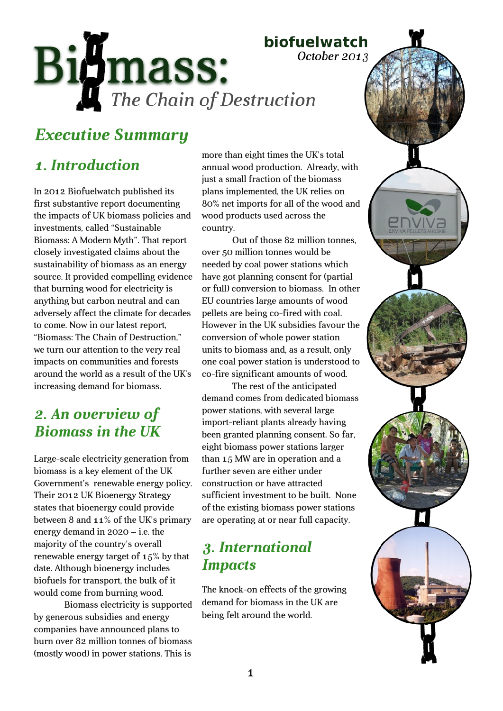# biofuelwatch

October 2013

Bigmass: The Chain of Destruction

# *Executive Summary*

# *1. Introduction*

In 2012 Biofuelwatch published its first substantive report documenting the impacts of UK biomass policies and investments, called "Sustainable Biomass: A Modern Myth". That report closely investigated claims about the sustainability of biomass as an energy source. It provided compelling evidence that burning wood for electricity is anything but carbon neutral and can adversely affect the climate for decades to come. Now in our latest report, "Biomass: The Chain of Destruction," we turn our attention to the very real impacts on communities and forests around the world as a result of the UK's increasing demand for biomass.

### *2. An overview of Biomass in the UK*

Large-scale electricity generation from biomass is a key element of the UK Government's renewable energy policy. Their 2012 UK Bioenergy Strategy states that bioenergy could provide between 8 and 11% of the UK's primary energy demand in 2020 – i.e. the majority of the country's overall renewable energy target of 15% by that date. Although bioenergy includes biofuels for transport, the bulk of it would come from burning wood.

Biomass electricity is supported by generous subsidies and energy companies have announced plans to burn over 82 million tonnes of biomass (mostly wood) in power stations. This is

more than eight times the UK's total annual wood production. Already, with just a small fraction of the biomass plans implemented, the UK relies on 80% net imports for all of the wood and wood products used across the country.

Out of those 82 million tonnes, over 50 million tonnes would be needed by coal power stations which have got planning consent for (partial or full) conversion to biomass. In other EU countries large amounts of wood pellets are being co-fired with coal. However in the UK subsidies favour the conversion of whole power station units to biomass and, as a result, only one coal power station is understood to co-fire significant amounts of wood.

The rest of the anticipated demand comes from dedicated biomass power stations, with several large import-reliant plants already having been granted planning consent. So far, eight biomass power stations larger than 15 MW are in operation and a further seven are either under construction or have attracted sufficient investment to be built. None of the existing biomass power stations are operating at or near full capacity.

### *3. International Impacts*

The knock-on effects of the growing demand for biomass in the UK are being felt around the world.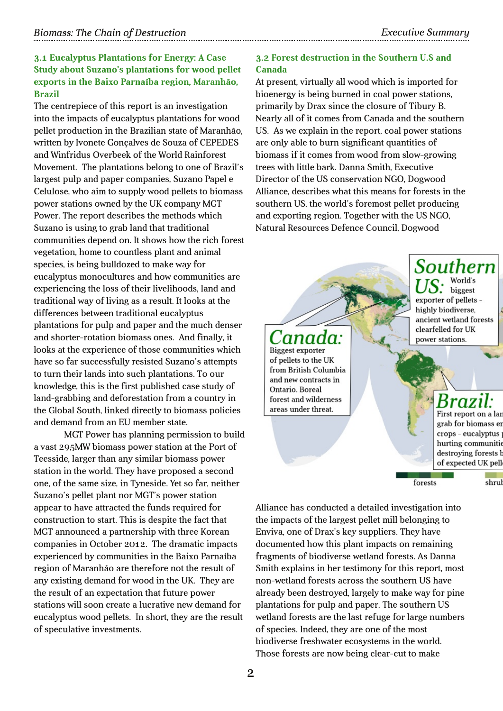### **3.1 Eucalyptus Plantations for Energy: A Case Study about Suzano's plantations for wood pellet exports in the Baixo Parnaíba region, Maranhão, Brazil**

The centrepiece of this report is an investigation into the impacts of eucalyptus plantations for wood pellet production in the Brazilian state of Maranhão, written by Ivonete Gonçalves de Souza of CEPEDES and Winfridus Overbeek of the World Rainforest Movement. The plantations belong to one of Brazil's largest pulp and paper companies, Suzano Papel e Celulose, who aim to supply wood pellets to biomass power stations owned by the UK company MGT Power. The report describes the methods which Suzano is using to grab land that traditional communities depend on. It shows how the rich forest vegetation, home to countless plant and animal species, is being bulldozed to make way for eucalyptus monocultures and how communities are experiencing the loss of their livelihoods, land and traditional way of living as a result. It looks at the differences between traditional eucalyptus plantations for pulp and paper and the much denser and shorter-rotation biomass ones. And finally, it looks at the experience of those communities which have so far successfully resisted Suzano's attempts to turn their lands into such plantations. To our knowledge, this is the first published case study of land-grabbing and deforestation from a country in the Global South, linked directly to biomass policies and demand from an EU member state.

MGT Power has planning permission to build a vast 295MW biomass power station at the Port of Teesside, larger than any similar biomass power station in the world. They have proposed a second one, of the same size, in Tyneside. Yet so far, neither Suzano's pellet plant nor MGT's power station appear to have attracted the funds required for construction to start. This is despite the fact that MGT announced a partnership with three Korean companies in October 2012. The dramatic impacts experienced by communities in the Baixo Parnaíba region of Maranhão are therefore not the result of any existing demand for wood in the UK. They are the result of an expectation that future power stations will soon create a lucrative new demand for eucalyptus wood pellets. In short, they are the result of speculative investments.

### **3.2 Forest destruction in the Southern U.S and Canada**

At present, virtually all wood which is imported for bioenergy is being burned in coal power stations, primarily by Drax since the closure of Tibury B. Nearly all of it comes from Canada and the southern US. As we explain in the report, coal power stations are only able to burn significant quantities of biomass if it comes from wood from slow-growing trees with little bark. Danna Smith, Executive Director of the US conservation NGO, Dogwood Alliance, describes what this means for forests in the southern US, the world's foremost pellet producing and exporting region. Together with the US NGO, Natural Resources Defence Council, Dogwood



Alliance has conducted a detailed investigation into the impacts of the largest pellet mill belonging to Enviva, one of Drax's key suppliers. They have documented how this plant impacts on remaining fragments of biodiverse wetland forests. As Danna Smith explains in her testimony for this report, most non-wetland forests across the southern US have already been destroyed, largely to make way for pine plantations for pulp and paper. The southern US wetland forests are the last refuge for large numbers of species. Indeed, they are one of the most biodiverse freshwater ecosystems in the world. Those forests are now being clear-cut to make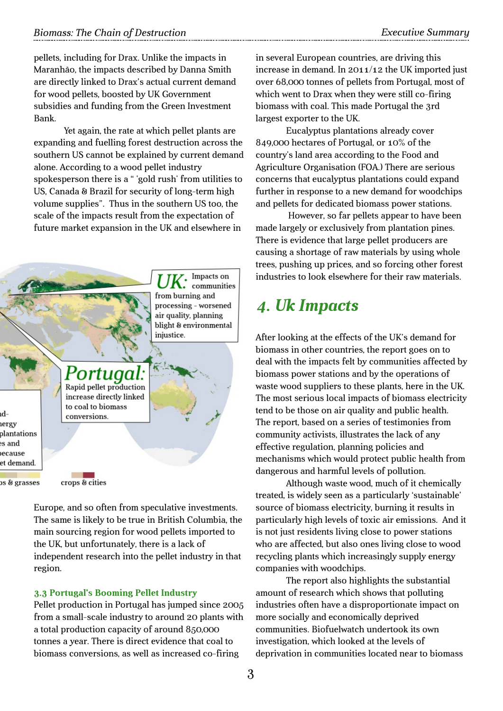pellets, including for Drax. Unlike the impacts in Maranhão, the impacts described by Danna Smith are directly linked to Drax's actual current demand for wood pellets, boosted by UK Government subsidies and funding from the Green Investment Bank.

Yet again, the rate at which pellet plants are expanding and fuelling forest destruction across the southern US cannot be explained by current demand alone. According to a wood pellet industry spokesperson there is a " 'gold rush' from utilities to US, Canada & Brazil for security of long-term high volume supplies". Thus in the southern US too, the scale of the impacts result from the expectation of future market expansion in the UK and elsewhere in



Europe, and so often from speculative investments. The same is likely to be true in British Columbia, the main sourcing region for wood pellets imported to the UK, but unfortunately, there is a lack of independent research into the pellet industry in that region.

#### **3.3 Portugal's Booming Pellet Industry**

Pellet production in Portugal has jumped since 2005 from a small-scale industry to around 20 plants with a total production capacity of around 850,000 tonnes a year. There is direct evidence that coal to biomass conversions, as well as increased co-firing

in several European countries, are driving this increase in demand. In 2011/12 the UK imported just over 68,000 tonnes of pellets from Portugal, most of which went to Drax when they were still co-firing biomass with coal. This made Portugal the 3rd largest exporter to the UK.

Eucalyptus plantations already cover 849,000 hectares of Portugal, or 10% of the country's land area according to the Food and Agriculture Organisation (FOA.) There are serious concerns that eucalyptus plantations could expand further in response to a new demand for woodchips and pellets for dedicated biomass power stations.

However, so far pellets appear to have been made largely or exclusively from plantation pines. There is evidence that large pellet producers are causing a shortage of raw materials by using whole trees, pushing up prices, and so forcing other forest industries to look elsewhere for their raw materials.

### *4. Uk Impacts*

After looking at the effects of the UK's demand for biomass in other countries, the report goes on to deal with the impacts felt by communities affected by biomass power stations and by the operations of waste wood suppliers to these plants, here in the UK. The most serious local impacts of biomass electricity tend to be those on air quality and public health. The report, based on a series of testimonies from community activists, illustrates the lack of any effective regulation, planning policies and mechanisms which would protect public health from dangerous and harmful levels of pollution.

Although waste wood, much of it chemically treated, is widely seen as a particularly 'sustainable' source of biomass electricity, burning it results in particularly high levels of toxic air emissions. And it is not just residents living close to power stations who are affected, but also ones living close to wood recycling plants which increasingly supply energy companies with woodchips.

The report also highlights the substantial amount of research which shows that polluting industries often have a disproportionate impact on more socially and economically deprived communities. Biofuelwatch undertook its own investigation, which looked at the levels of deprivation in communities located near to biomass